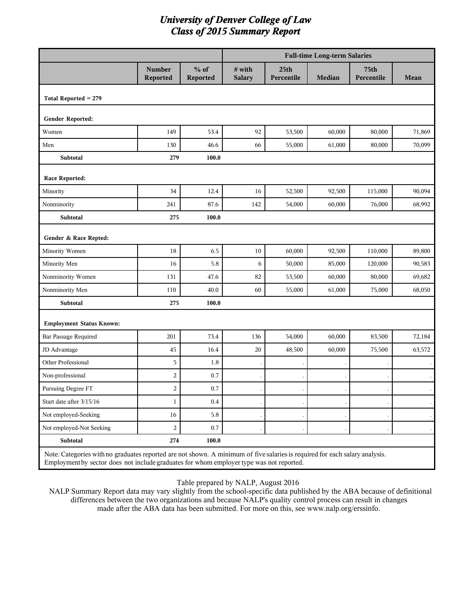|                                 |                           |                                                                                                                                                                                                                         |                         |                                | <b>Full-time Long-term Salaries</b> |                    |        |  |  |
|---------------------------------|---------------------------|-------------------------------------------------------------------------------------------------------------------------------------------------------------------------------------------------------------------------|-------------------------|--------------------------------|-------------------------------------|--------------------|--------|--|--|
|                                 | <b>Number</b><br>Reported | $%$ of<br>Reported                                                                                                                                                                                                      | # with<br><b>Salary</b> | 25 <sub>th</sub><br>Percentile | <b>Median</b>                       | 75th<br>Percentile | Mean   |  |  |
| Total Reported = 279            |                           |                                                                                                                                                                                                                         |                         |                                |                                     |                    |        |  |  |
| Gender Reported:                |                           |                                                                                                                                                                                                                         |                         |                                |                                     |                    |        |  |  |
| Women                           | 149                       | 53.4                                                                                                                                                                                                                    | 92                      | 53,500                         | 60,000                              | 80,000             | 71,869 |  |  |
| Men                             | 130                       | 46.6                                                                                                                                                                                                                    | 66                      | 55,000                         | 61,000                              | 80,000             | 70,099 |  |  |
| Subtotal                        | 279                       | 100.0                                                                                                                                                                                                                   |                         |                                |                                     |                    |        |  |  |
| Race Reported:                  |                           |                                                                                                                                                                                                                         |                         |                                |                                     |                    |        |  |  |
| Minority                        | 34                        | 12.4                                                                                                                                                                                                                    | 16                      | 52,500                         | 92,500                              | 115,000            | 90,094 |  |  |
| Nonminority                     | 241                       | 87.6                                                                                                                                                                                                                    | 142                     | 54,000                         | 60,000                              | 76,000             | 68,992 |  |  |
| <b>Subtotal</b>                 | 275                       | 100.0                                                                                                                                                                                                                   |                         |                                |                                     |                    |        |  |  |
| Gender & Race Repted:           |                           |                                                                                                                                                                                                                         |                         |                                |                                     |                    |        |  |  |
| Minority Women                  | 18                        | 6.5                                                                                                                                                                                                                     | 10                      | 60,000                         | 92,500                              | 110,000            | 89,800 |  |  |
| Minority Men                    | 16                        | 5.8                                                                                                                                                                                                                     | 6                       | 50,000                         | 85,000                              | 120,000            | 90,583 |  |  |
| Nonminority Women               | 131                       | 47.6                                                                                                                                                                                                                    | 82                      | 53,500                         | 60,000                              | 80,000             | 69,682 |  |  |
| Nonminority Men                 | 110                       | 40.0                                                                                                                                                                                                                    | 60                      | 55,000                         | 61,000                              | 75,000             | 68,050 |  |  |
| Subtotal                        | 275                       | 100.0                                                                                                                                                                                                                   |                         |                                |                                     |                    |        |  |  |
| <b>Employment Status Known:</b> |                           |                                                                                                                                                                                                                         |                         |                                |                                     |                    |        |  |  |
| Bar Passage Required            | 201                       | 73.4                                                                                                                                                                                                                    | 136                     | 54,000                         | 60,000                              | 83,500             | 72,184 |  |  |
| JD Advantage                    | 45                        | 16.4                                                                                                                                                                                                                    | 20                      | 48,500                         | 60,000                              | 75,500             | 63,572 |  |  |
| Other Professional              | 5                         | 1.8                                                                                                                                                                                                                     |                         |                                |                                     |                    |        |  |  |
| Non-professional                | $\overline{c}$            | 0.7                                                                                                                                                                                                                     |                         |                                |                                     |                    |        |  |  |
| Pursuing Degree FT              | $\overline{c}$            | 0.7                                                                                                                                                                                                                     |                         |                                |                                     |                    |        |  |  |
| Start date after 3/15/16        | $\mathbf{1}$              | 0.4                                                                                                                                                                                                                     |                         |                                |                                     |                    |        |  |  |
| Not employed-Seeking            | 16                        | 5.8                                                                                                                                                                                                                     |                         |                                |                                     |                    |        |  |  |
| Not employed-Not Seeking        | $\overline{c}$            | 0.7                                                                                                                                                                                                                     |                         |                                |                                     |                    |        |  |  |
| Subtotal                        | 274                       | 100.0                                                                                                                                                                                                                   |                         |                                |                                     |                    |        |  |  |
|                                 |                           | Note: Categories with no graduates reported are not shown. A minimum of five salaries is required for each salary analysis.<br>Employment by sector does not include graduates for whom employer type was not reported. |                         |                                |                                     |                    |        |  |  |

Table prepared by NALP, August 2016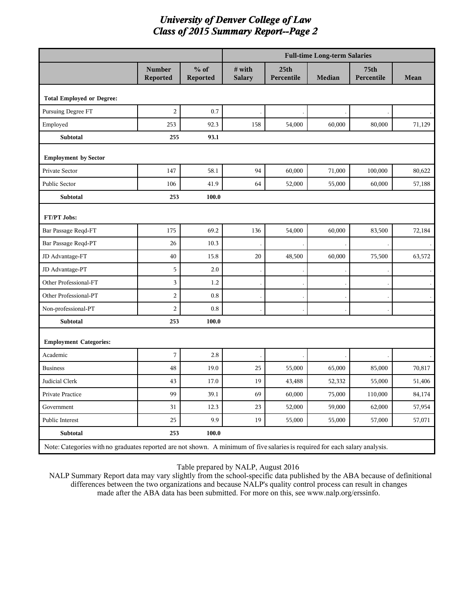|                                                                                                                             |                           |                    |                         |                                | <b>Full-time Long-term Salaries</b> |                    |        |
|-----------------------------------------------------------------------------------------------------------------------------|---------------------------|--------------------|-------------------------|--------------------------------|-------------------------------------|--------------------|--------|
|                                                                                                                             | <b>Number</b><br>Reported | $%$ of<br>Reported | # with<br><b>Salary</b> | 25 <sub>th</sub><br>Percentile | <b>Median</b>                       | 75th<br>Percentile | Mean   |
| <b>Total Employed or Degree:</b>                                                                                            |                           |                    |                         |                                |                                     |                    |        |
| Pursuing Degree FT                                                                                                          | $\overline{2}$            | 0.7                |                         |                                |                                     |                    |        |
| Employed                                                                                                                    | 253                       | 92.3               | 158                     | 54,000                         | 60,000                              | 80,000             | 71,129 |
| Subtotal                                                                                                                    | 255                       | 93.1               |                         |                                |                                     |                    |        |
| <b>Employment by Sector</b>                                                                                                 |                           |                    |                         |                                |                                     |                    |        |
| Private Sector                                                                                                              | 147                       | 58.1               | 94                      | 60,000                         | 71,000                              | 100,000            | 80,622 |
| Public Sector                                                                                                               | 106                       | 41.9               | 64                      | 52,000                         | 55,000                              | 60,000             | 57,188 |
| Subtotal                                                                                                                    | 253                       | 100.0              |                         |                                |                                     |                    |        |
| FT/PT Jobs:                                                                                                                 |                           |                    |                         |                                |                                     |                    |        |
| Bar Passage Reqd-FT                                                                                                         | 175                       | 69.2               | 136                     | 54,000                         | 60,000                              | 83,500             | 72,184 |
| Bar Passage Reqd-PT                                                                                                         | 26                        | 10.3               |                         |                                |                                     |                    |        |
| JD Advantage-FT                                                                                                             | 40                        | 15.8               | 20                      | 48,500                         | 60,000                              | 75,500             | 63,572 |
| JD Advantage-PT                                                                                                             | 5                         | 2.0                |                         |                                |                                     |                    |        |
| Other Professional-FT                                                                                                       | $\mathbf{3}$              | 1.2                |                         |                                |                                     |                    |        |
| Other Professional-PT                                                                                                       | $\overline{2}$            | 0.8                |                         |                                |                                     |                    |        |
| Non-professional-PT                                                                                                         | $\overline{a}$            | 0.8                |                         |                                |                                     |                    |        |
| Subtotal                                                                                                                    | 253                       | 100.0              |                         |                                |                                     |                    |        |
| <b>Employment Categories:</b>                                                                                               |                           |                    |                         |                                |                                     |                    |        |
| Academic                                                                                                                    | $\overline{7}$            | 2.8                |                         |                                |                                     |                    |        |
| <b>Business</b>                                                                                                             | 48                        | 19.0               | 25                      | 55,000                         | 65,000                              | 85,000             | 70,817 |
| Judicial Clerk                                                                                                              | 43                        | 17.0               | 19                      | 43,488                         | 52,332                              | 55,000             | 51,406 |
| Private Practice                                                                                                            | 99                        | 39.1               | 69                      | 60,000                         | 75,000                              | 110,000            | 84,174 |
| Government                                                                                                                  | 31                        | 12.3               | 23                      | 52,000                         | 59,000                              | 62,000             | 57,954 |
| Public Interest                                                                                                             | 25                        | 9.9                | 19                      | 55,000                         | 55,000                              | 57,000             | 57,071 |
| <b>Subtotal</b>                                                                                                             | 253                       | 100.0              |                         |                                |                                     |                    |        |
| Note: Categories with no graduates reported are not shown. A minimum of five salaries is required for each salary analysis. |                           |                    |                         |                                |                                     |                    |        |

Table prepared by NALP, August 2016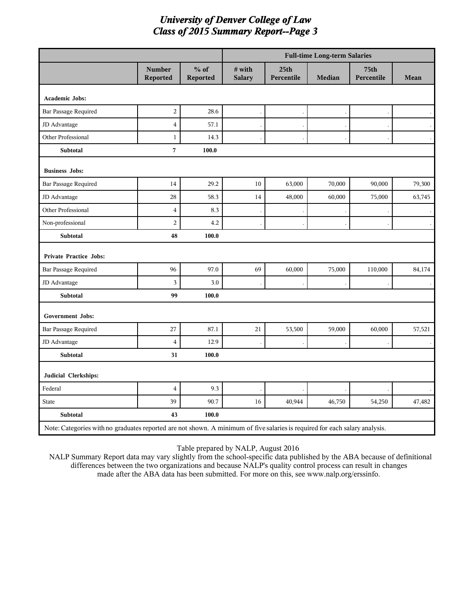|                                                                                                                             |                                  |                           |                         |                                | <b>Full-time Long-term Salaries</b> |                    |        |
|-----------------------------------------------------------------------------------------------------------------------------|----------------------------------|---------------------------|-------------------------|--------------------------------|-------------------------------------|--------------------|--------|
|                                                                                                                             | <b>Number</b><br><b>Reported</b> | $%$ of<br><b>Reported</b> | # with<br><b>Salary</b> | 25 <sub>th</sub><br>Percentile | Median                              | 75th<br>Percentile | Mean   |
| <b>Academic Jobs:</b>                                                                                                       |                                  |                           |                         |                                |                                     |                    |        |
| <b>Bar Passage Required</b>                                                                                                 | $\overline{c}$                   | 28.6                      |                         |                                |                                     |                    |        |
| JD Advantage                                                                                                                | $\overline{4}$                   | 57.1                      |                         |                                |                                     |                    |        |
| Other Professional                                                                                                          | $\mathbf{1}$                     | 14.3                      |                         |                                |                                     |                    |        |
| Subtotal                                                                                                                    | $\overline{7}$                   | 100.0                     |                         |                                |                                     |                    |        |
| <b>Business Jobs:</b>                                                                                                       |                                  |                           |                         |                                |                                     |                    |        |
| Bar Passage Required                                                                                                        | 14                               | 29.2                      | 10                      | 63,000                         | 70,000                              | 90,000             | 79,300 |
| JD Advantage                                                                                                                | 28                               | 58.3                      | 14                      | 48,000                         | 60,000                              | 75,000             | 63,745 |
| Other Professional                                                                                                          | $\overline{\mathbf{4}}$          | 8.3                       |                         |                                |                                     |                    |        |
| Non-professional                                                                                                            | $\overline{c}$                   | 4.2                       |                         |                                |                                     |                    |        |
| Subtotal                                                                                                                    | 48                               | 100.0                     |                         |                                |                                     |                    |        |
| <b>Private Practice Jobs:</b>                                                                                               |                                  |                           |                         |                                |                                     |                    |        |
| Bar Passage Required                                                                                                        | 96                               | 97.0                      | 69                      | 60,000                         | 75,000                              | 110,000            | 84,174 |
| JD Advantage                                                                                                                | 3                                | 3.0                       |                         |                                |                                     |                    |        |
| <b>Subtotal</b>                                                                                                             | 99                               | 100.0                     |                         |                                |                                     |                    |        |
| Government Jobs:                                                                                                            |                                  |                           |                         |                                |                                     |                    |        |
| Bar Passage Required                                                                                                        | 27                               | 87.1                      | 21                      | 53,500                         | 59,000                              | 60,000             | 57,521 |
| JD Advantage                                                                                                                | $\overline{4}$                   | 12.9                      |                         |                                |                                     |                    |        |
| <b>Subtotal</b>                                                                                                             | 31                               | 100.0                     |                         |                                |                                     |                    |        |
| Judicial Clerkships:                                                                                                        |                                  |                           |                         |                                |                                     |                    |        |
| Federal                                                                                                                     | $\overline{4}$                   | 9.3                       |                         |                                |                                     |                    |        |
| <b>State</b>                                                                                                                | 39                               | 90.7                      | 16                      | 40,944                         | 46,750                              | 54,250             | 47,482 |
| Subtotal                                                                                                                    | 43                               | 100.0                     |                         |                                |                                     |                    |        |
| Note: Categories with no graduates reported are not shown. A minimum of five salaries is required for each salary analysis. |                                  |                           |                         |                                |                                     |                    |        |

Table prepared by NALP, August 2016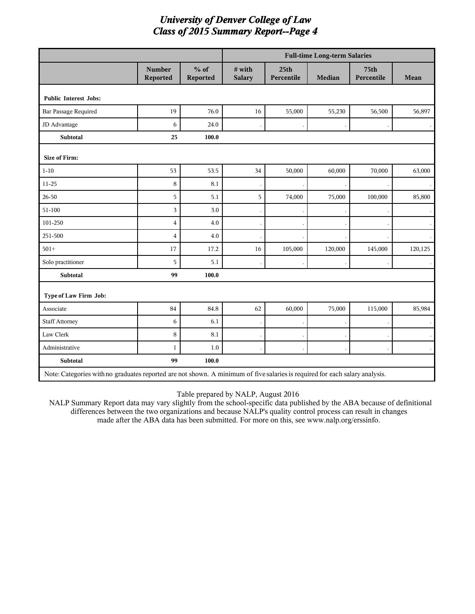|                                                                                                                             |                           |                    |                         |                                | <b>Full-time Long-term Salaries</b> |                                |         |
|-----------------------------------------------------------------------------------------------------------------------------|---------------------------|--------------------|-------------------------|--------------------------------|-------------------------------------|--------------------------------|---------|
|                                                                                                                             | <b>Number</b><br>Reported | $%$ of<br>Reported | # with<br><b>Salary</b> | 25 <sub>th</sub><br>Percentile | <b>Median</b>                       | 75 <sub>th</sub><br>Percentile | Mean    |
| <b>Public Interest Jobs:</b>                                                                                                |                           |                    |                         |                                |                                     |                                |         |
| <b>Bar Passage Required</b>                                                                                                 | 19                        | 76.0               | 16                      | 55,000                         | 55,230                              | 56,500                         | 56,897  |
| JD Advantage                                                                                                                | 6                         | 24.0               |                         |                                |                                     |                                |         |
| Subtotal                                                                                                                    | 25                        | 100.0              |                         |                                |                                     |                                |         |
| <b>Size of Firm:</b>                                                                                                        |                           |                    |                         |                                |                                     |                                |         |
| $1 - 10$                                                                                                                    | 53                        | 53.5               | $34\,$                  | 50,000                         | 60,000                              | 70,000                         | 63,000  |
| $11 - 25$                                                                                                                   | 8                         | 8.1                |                         |                                |                                     |                                |         |
| $26 - 50$                                                                                                                   | 5                         | 5.1                | 5                       | 74,000                         | 75,000                              | 100,000                        | 85,800  |
| 51-100                                                                                                                      | 3                         | 3.0                |                         |                                |                                     |                                |         |
| 101-250                                                                                                                     | $\overline{4}$            | 4.0                |                         |                                |                                     |                                |         |
| 251-500                                                                                                                     | $\overline{4}$            | 4.0                |                         |                                |                                     |                                |         |
| $501+$                                                                                                                      | 17                        | 17.2               | 16                      | 105,000                        | 120,000                             | 145,000                        | 120,125 |
| Solo practitioner                                                                                                           | 5                         | 5.1                |                         |                                |                                     |                                |         |
| Subtotal                                                                                                                    | 99                        | 100.0              |                         |                                |                                     |                                |         |
| Type of Law Firm Job:                                                                                                       |                           |                    |                         |                                |                                     |                                |         |
| Associate                                                                                                                   | 84                        | 84.8               | 62                      | 60,000                         | 75,000                              | 115,000                        | 85,984  |
| <b>Staff Attorney</b>                                                                                                       | 6                         | 6.1                |                         |                                |                                     |                                |         |
| Law Clerk                                                                                                                   | 8                         | 8.1                |                         |                                |                                     |                                |         |
| Administrative                                                                                                              | $\mathbf{1}$              | 1.0                |                         |                                |                                     |                                |         |
| <b>Subtotal</b>                                                                                                             | 99                        | 100.0              |                         |                                |                                     |                                |         |
| Note: Categories with no graduates reported are not shown. A minimum of five salaries is required for each salary analysis. |                           |                    |                         |                                |                                     |                                |         |

Table prepared by NALP, August 2016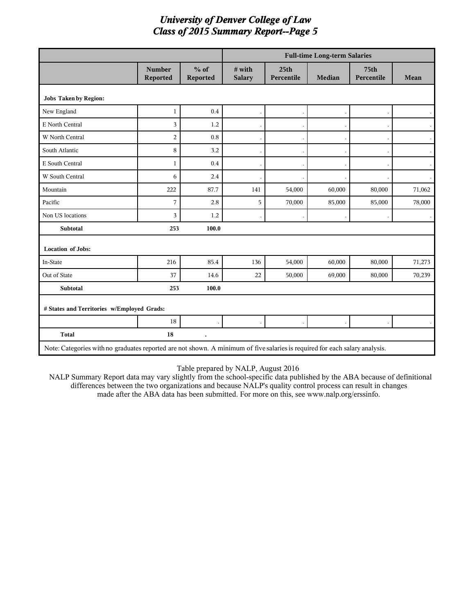|                                                                                                                             |                           |                      |                         |                                | <b>Full-time Long-term Salaries</b> |                                |        |
|-----------------------------------------------------------------------------------------------------------------------------|---------------------------|----------------------|-------------------------|--------------------------------|-------------------------------------|--------------------------------|--------|
|                                                                                                                             | <b>Number</b><br>Reported | $%$ of<br>Reported   | # with<br><b>Salary</b> | 25 <sub>th</sub><br>Percentile | Median                              | 75 <sub>th</sub><br>Percentile | Mean   |
| <b>Jobs Taken by Region:</b>                                                                                                |                           |                      |                         |                                |                                     |                                |        |
| New England                                                                                                                 | $\mathbf{1}$              | 0.4                  |                         |                                |                                     |                                |        |
| E North Central                                                                                                             | 3                         | 1.2                  |                         |                                |                                     |                                |        |
| W North Central                                                                                                             | $\overline{c}$            | 0.8                  |                         |                                |                                     |                                |        |
| South Atlantic                                                                                                              | 8                         | 3.2                  |                         |                                |                                     |                                |        |
| E South Central                                                                                                             | $\mathbf{1}$              | 0.4                  |                         |                                |                                     |                                |        |
| W South Central                                                                                                             | 6                         | 2.4                  |                         |                                |                                     |                                |        |
| Mountain                                                                                                                    | 222                       | 87.7                 | 141                     | 54,000                         | 60,000                              | 80,000                         | 71,062 |
| Pacific                                                                                                                     | 7                         | 2.8                  | 5                       | 70,000                         | 85,000                              | 85,000                         | 78,000 |
| Non US locations                                                                                                            | $\overline{3}$            | 1.2                  |                         |                                |                                     |                                |        |
| <b>Subtotal</b>                                                                                                             | 253                       | 100.0                |                         |                                |                                     |                                |        |
| <b>Location of Jobs:</b>                                                                                                    |                           |                      |                         |                                |                                     |                                |        |
| In-State                                                                                                                    | 216                       | 85.4                 | 136                     | 54,000                         | 60,000                              | 80,000                         | 71,273 |
| Out of State                                                                                                                | 37                        | 14.6                 | 22                      | 50,000                         | 69,000                              | 80,000                         | 70,239 |
| <b>Subtotal</b>                                                                                                             | 253                       | 100.0                |                         |                                |                                     |                                |        |
| # States and Territories w/Employed Grads:                                                                                  |                           |                      |                         |                                |                                     |                                |        |
|                                                                                                                             | 18                        |                      |                         |                                |                                     |                                |        |
| <b>Total</b>                                                                                                                | 18                        | $\ddot{\phantom{0}}$ |                         |                                |                                     |                                |        |
| Note: Categories with no graduates reported are not shown. A minimum of five salaries is required for each salary analysis. |                           |                      |                         |                                |                                     |                                |        |

#### Table prepared by NALP, August 2016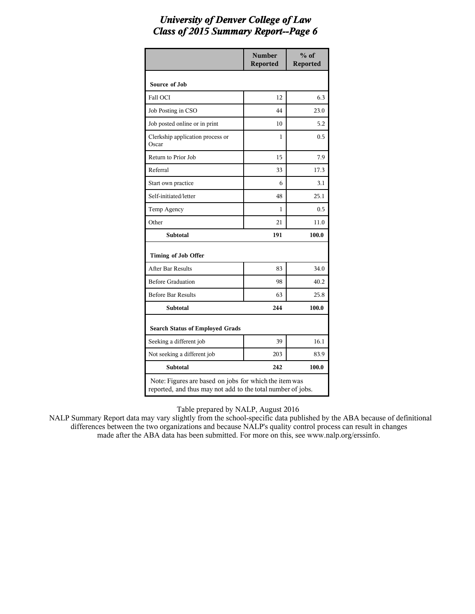|                                                                                                                       | <b>Number</b><br><b>Reported</b> | $%$ of<br><b>Reported</b> |
|-----------------------------------------------------------------------------------------------------------------------|----------------------------------|---------------------------|
| Source of Job                                                                                                         |                                  |                           |
| Fall OCI                                                                                                              | 12                               | 6.3                       |
| Job Posting in CSO                                                                                                    | 44                               | 23.0                      |
| Job posted online or in print                                                                                         | 10                               | 5.2                       |
| Clerkship application process or<br>Oscar                                                                             | 1                                | 0.5                       |
| Return to Prior Job                                                                                                   | 15                               | 7.9                       |
| Referral                                                                                                              | 33                               | 17.3                      |
| Start own practice                                                                                                    | 6                                | 3.1                       |
| Self-initiated/letter                                                                                                 | 48                               | 25.1                      |
| Temp Agency                                                                                                           | 1                                | 0.5                       |
| Other                                                                                                                 | 21                               | 11.0                      |
| <b>Subtotal</b>                                                                                                       | 191                              | 100.0                     |
| Timing of Job Offer                                                                                                   |                                  |                           |
| After Bar Results                                                                                                     | 83                               | 34.0                      |
| <b>Before Graduation</b>                                                                                              | 98                               | 40.2                      |
| <b>Before Bar Results</b>                                                                                             | 63                               | 25.8                      |
| <b>Subtotal</b>                                                                                                       | 244                              | 100.0                     |
| <b>Search Status of Employed Grads</b>                                                                                |                                  |                           |
| Seeking a different job                                                                                               | 39                               | 16.1                      |
| Not seeking a different job                                                                                           | 203                              | 83.9                      |
| <b>Subtotal</b>                                                                                                       | 242                              | 100.0                     |
| Note: Figures are based on jobs for which the item was<br>reported, and thus may not add to the total number of jobs. |                                  |                           |

Table prepared by NALP, August 2016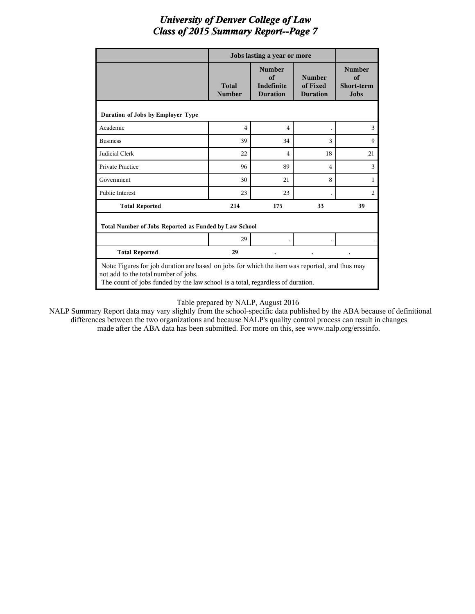|                                                                                                                                                                                                                          |                               | Jobs lasting a year or more                                 |                                              |                                                         |  |  |  |
|--------------------------------------------------------------------------------------------------------------------------------------------------------------------------------------------------------------------------|-------------------------------|-------------------------------------------------------------|----------------------------------------------|---------------------------------------------------------|--|--|--|
|                                                                                                                                                                                                                          | <b>Total</b><br><b>Number</b> | <b>Number</b><br>of<br><b>Indefinite</b><br><b>Duration</b> | <b>Number</b><br>of Fixed<br><b>Duration</b> | <b>Number</b><br>of<br><b>Short-term</b><br><b>Jobs</b> |  |  |  |
| Duration of Jobs by Employer Type                                                                                                                                                                                        |                               |                                                             |                                              |                                                         |  |  |  |
| Academic                                                                                                                                                                                                                 | $\overline{4}$                | $\overline{4}$                                              |                                              | 3                                                       |  |  |  |
| <b>Business</b>                                                                                                                                                                                                          | 39                            | 34                                                          | 3                                            | $\mathbf Q$                                             |  |  |  |
| Judicial Clerk                                                                                                                                                                                                           | 22                            | 4                                                           | 18                                           | 21                                                      |  |  |  |
| <b>Private Practice</b>                                                                                                                                                                                                  | 96                            | 89                                                          | 4                                            | 3                                                       |  |  |  |
| Government                                                                                                                                                                                                               | 30                            | 21                                                          | 8                                            | 1                                                       |  |  |  |
| <b>Public Interest</b>                                                                                                                                                                                                   | 23                            | 23                                                          |                                              | $\overline{2}$                                          |  |  |  |
| <b>Total Reported</b>                                                                                                                                                                                                    | 214                           | 175                                                         | 33                                           | 39                                                      |  |  |  |
| Total Number of Jobs Reported as Funded by Law School                                                                                                                                                                    |                               |                                                             |                                              |                                                         |  |  |  |
|                                                                                                                                                                                                                          | 29                            |                                                             |                                              |                                                         |  |  |  |
| <b>Total Reported</b>                                                                                                                                                                                                    | 29                            |                                                             |                                              |                                                         |  |  |  |
| Note: Figures for job duration are based on jobs for which the item was reported, and thus may<br>not add to the total number of jobs.<br>The count of jobs funded by the law school is a total, regardless of duration. |                               |                                                             |                                              |                                                         |  |  |  |

#### Table prepared by NALP, August 2016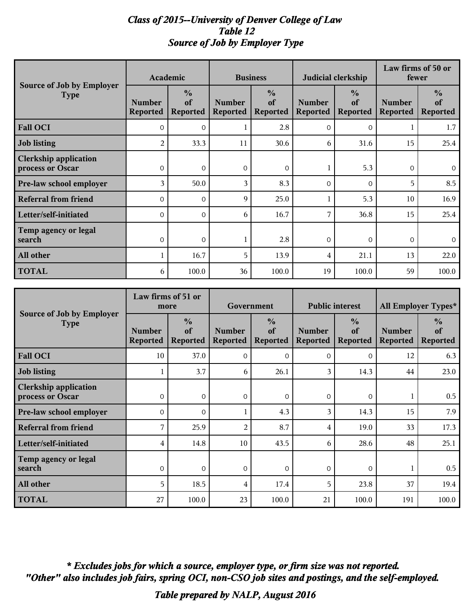#### *Class of 2015--University of Denver College of Law Table 12 Source of Job by Employer Type*

|                                                  |                                  | Academic                               |                                  | <b>Business</b>                        |                                  | Judicial clerkship                     | Law firms of 50 or<br>fewer      |                                        |
|--------------------------------------------------|----------------------------------|----------------------------------------|----------------------------------|----------------------------------------|----------------------------------|----------------------------------------|----------------------------------|----------------------------------------|
| Source of Job by Employer<br><b>Type</b>         | <b>Number</b><br><b>Reported</b> | $\frac{0}{0}$<br>of<br><b>Reported</b> | <b>Number</b><br><b>Reported</b> | $\frac{0}{0}$<br>of<br><b>Reported</b> | <b>Number</b><br><b>Reported</b> | $\frac{0}{0}$<br>of<br><b>Reported</b> | <b>Number</b><br><b>Reported</b> | $\frac{0}{0}$<br>of<br><b>Reported</b> |
| <b>Fall OCI</b>                                  | $\Omega$                         | $\Omega$                               |                                  | 2.8                                    | $\mathbf{0}$                     | $\Omega$                               |                                  | 1.7                                    |
| Job listing                                      | 2                                | 33.3                                   | 11                               | 30.6                                   | 6                                | 31.6                                   | 15                               | 25.4                                   |
| <b>Clerkship application</b><br>process or Oscar | $\Omega$                         | $\Omega$                               | $\Omega$                         | $\Omega$                               |                                  | 5.3                                    | $\Omega$                         | $\Omega$                               |
| <b>Pre-law school employer</b>                   | 3                                | 50.0                                   | 3                                | 8.3                                    | $\Omega$                         | $\Omega$                               | 5                                | 8.5                                    |
| <b>Referral from friend</b>                      | $\mathbf 0$                      | $\Omega$                               | 9                                | 25.0                                   |                                  | 5.3                                    | 10                               | 16.9                                   |
| Letter/self-initiated                            | $\Omega$                         | $\Omega$                               | 6                                | 16.7                                   | 7                                | 36.8                                   | 15                               | 25.4                                   |
| Temp agency or legal<br>search                   | $\mathbf 0$                      | $\mathbf 0$                            |                                  | 2.8                                    | $\mathbf{0}$                     | $\overline{0}$                         | $\mathbf 0$                      | $\overline{0}$                         |
| All other                                        |                                  | 16.7                                   | 5                                | 13.9                                   | 4                                | 21.1                                   | 13                               | 22.0                                   |
| <b>TOTAL</b>                                     | 6                                | 100.0                                  | 36                               | 100.0                                  | 19                               | 100.0                                  | 59                               | 100.0                                  |

|                                                  |                                  | Law firms of 51 or<br>more             | Government                       |                                        | <b>Public interest</b>           |                                        | All Employer Types*              |                                        |
|--------------------------------------------------|----------------------------------|----------------------------------------|----------------------------------|----------------------------------------|----------------------------------|----------------------------------------|----------------------------------|----------------------------------------|
| <b>Source of Job by Employer</b><br><b>Type</b>  | <b>Number</b><br><b>Reported</b> | $\frac{0}{0}$<br>of<br><b>Reported</b> | <b>Number</b><br><b>Reported</b> | $\frac{0}{0}$<br>of<br><b>Reported</b> | <b>Number</b><br><b>Reported</b> | $\frac{0}{0}$<br>of<br><b>Reported</b> | <b>Number</b><br><b>Reported</b> | $\frac{0}{0}$<br>of<br><b>Reported</b> |
| <b>Fall OCI</b>                                  | 10                               | 37.0                                   | $\Omega$                         | $\Omega$                               | $\Omega$                         | $\Omega$                               | 12                               | 6.3                                    |
| <b>Job listing</b>                               |                                  | 3.7                                    | 6                                | 26.1                                   | 3                                | 14.3                                   | 44                               | 23.0                                   |
| <b>Clerkship application</b><br>process or Oscar | $\Omega$                         | $\Omega$                               | $\Omega$                         | $\Omega$                               | $\Omega$                         | $\Omega$                               |                                  | 0.5                                    |
| Pre-law school employer                          | $\Omega$                         | $\Omega$                               |                                  | 4.3                                    | 3                                | 14.3                                   | 15                               | 7.9                                    |
| <b>Referral from friend</b>                      | 7                                | 25.9                                   | 2                                | 8.7                                    | 4                                | 19.0                                   | 33                               | 17.3                                   |
| Letter/self-initiated                            | 4                                | 14.8                                   | 10                               | 43.5                                   | 6                                | 28.6                                   | 48                               | 25.1                                   |
| Temp agency or legal<br>search                   | $\Omega$                         | $\Omega$                               | $\Omega$                         | $\Omega$                               | $\Omega$                         | $\Omega$                               |                                  | 0.5                                    |
| All other                                        | 5                                | 18.5                                   | $\overline{4}$                   | 17.4                                   | 5                                | 23.8                                   | 37                               | 19.4                                   |
| <b>TOTAL</b>                                     | 27                               | 100.0                                  | 23                               | 100.0                                  | 21                               | 100.0                                  | 191                              | 100.0                                  |

*"Other" also includes job fairs, spring OCI, non-CSO job sites and postings, and the self-employed. \* Excludes jobs for which a source, employer type, or firm size was not reported.*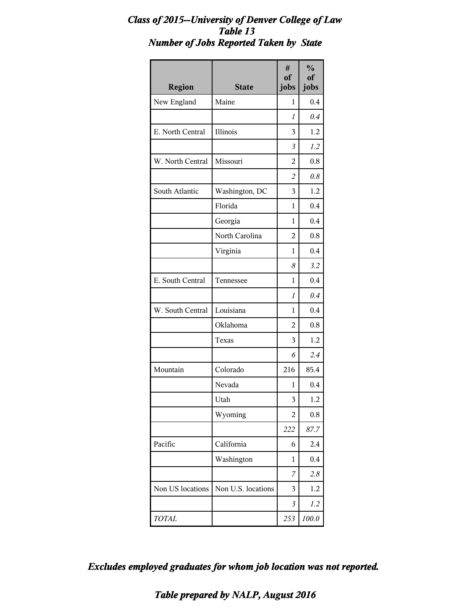#### *Class of 2015--University of Denver College of Law Table 13 Number of Jobs Reported Taken by State*

| <b>Region</b>    | <b>State</b>       | #<br>of<br>jobs | $\frac{0}{0}$<br>of<br>jobs |
|------------------|--------------------|-----------------|-----------------------------|
| New England      | Maine              | 1               | 0.4                         |
|                  |                    | 1               | 0.4                         |
| E. North Central | Illinois           | 3               | 1.2                         |
|                  |                    | 3               | 1.2                         |
| W. North Central | Missouri           | 2               | 0.8                         |
|                  |                    | $\overline{c}$  | 0.8                         |
| South Atlantic   | Washington, DC     | 3               | 1.2                         |
|                  | Florida            | 1               | 0.4                         |
|                  | Georgia            | 1               | 0.4                         |
|                  | North Carolina     | 2               | 0.8                         |
|                  | Virginia           | 1               | 0.4                         |
|                  |                    | 8               | 3.2                         |
| E. South Central | Tennessee          | 1               | 0.4                         |
|                  |                    | 1               | 0.4                         |
| W. South Central | Louisiana          | 1               | 0.4                         |
|                  | Oklahoma           | 2               | 0.8                         |
|                  | Texas              | 3               | 1.2                         |
|                  |                    | 6               | 2.4                         |
| Mountain         | Colorado           | 216             | 85.4                        |
|                  | Nevada             | 1               | 0.4                         |
|                  | Utah               | 3               | $1.2\,$                     |
|                  | Wyoming            | $\overline{c}$  | 0.8                         |
|                  |                    | 222             | 87.7                        |
| Pacific          | California         | 6               | 2.4                         |
|                  | Washington         | 1               | 0.4                         |
|                  |                    | 7               | 2.8                         |
| Non US locations | Non U.S. locations | 3               | 1.2                         |
|                  |                    | 3               | 1.2                         |
| TOTAL            |                    | 253             | 100.0                       |

*Excludes employed graduates for whom job location was not reported.*

*Table prepared by NALP, August 2016*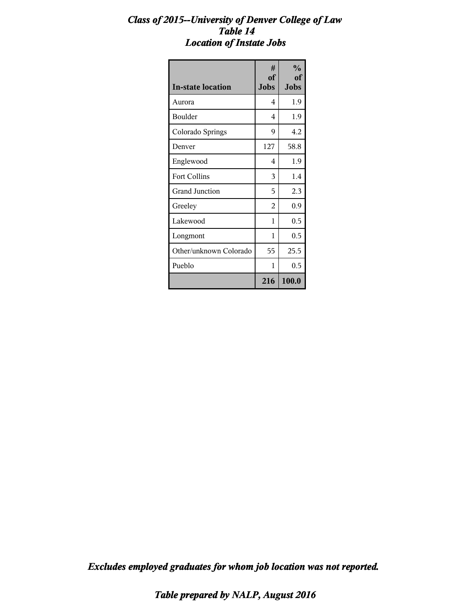#### *Class of 2015--University of Denver College of Law Table 14 Location of Instate Jobs*

| <b>In-state location</b> | #<br><sub>of</sub><br>Jobs | $\frac{0}{0}$<br>of<br><b>Jobs</b> |
|--------------------------|----------------------------|------------------------------------|
| Aurora                   | 4                          | 1.9                                |
| <b>Boulder</b>           | 4                          | 1.9                                |
| Colorado Springs         | 9                          | 4.2                                |
| Denver                   | 127                        | 58.8                               |
| Englewood                | 4                          | 1.9                                |
| <b>Fort Collins</b>      | 3                          | 1.4                                |
| <b>Grand Junction</b>    | 5                          | 2.3                                |
| Greeley                  | 2                          | 0.9                                |
| Lakewood                 | 1                          | 0.5                                |
| Longmont                 | 1                          | 0.5                                |
| Other/unknown Colorado   | 55                         | 25.5                               |
| Pueblo                   | 1                          | 0.5                                |
|                          | 216                        | 100.0                              |